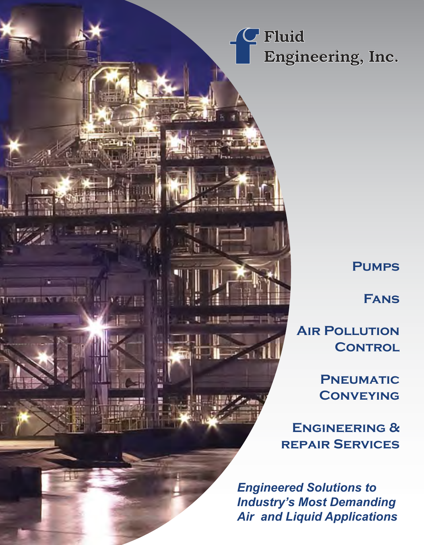**Fluid Engineering, Inc.**

## **Pumps**

**Fans**

**AIR POLLUTION CONTROL** 

> **Pneumatic Conveying**

**Engineering & repair Services**

*Engineered Solutions to Industry's Most Demanding Air and Liquid Applications*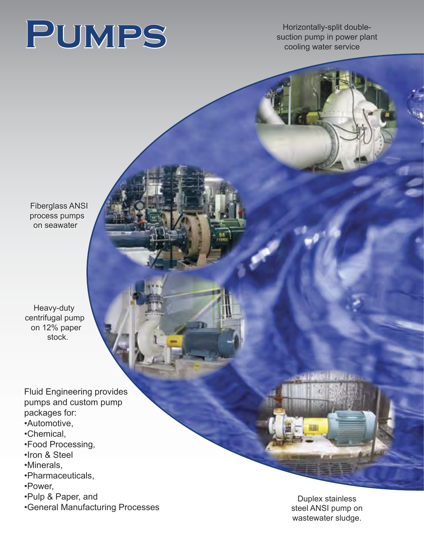

Horizontally-split doublesuction pump in power plant cooling water service

Fiberglass ANSI process pumps on seawater

Heavy-duty centrifugal pump on 12% paper stock.

Fluid Engineering provides pumps and custom pump packages for:

- •Automotive,
- •Chemical,
- •Food Processing,
- •Iron & Steel
- •Minerals,
- •Pharmaceuticals,
- •Power,
- •Pulp & Paper, and
- •General Manufacturing Processes

Duplex stainless steel ANSI pump on wastewater sludge.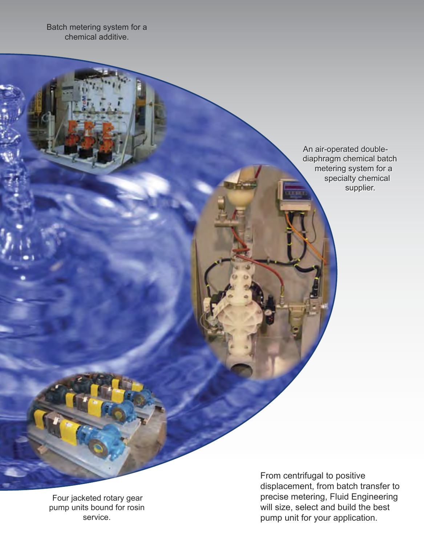Batch metering system for a chemical additive.

> An air-operated doublediaphragm chemical batch metering system for a specialty chemical supplier.

Four jacketed rotary gear pump units bound for rosin service.

From centrifugal to positive displacement, from batch transfer to precise metering, Fluid Engineering will size, select and build the best pump unit for your application.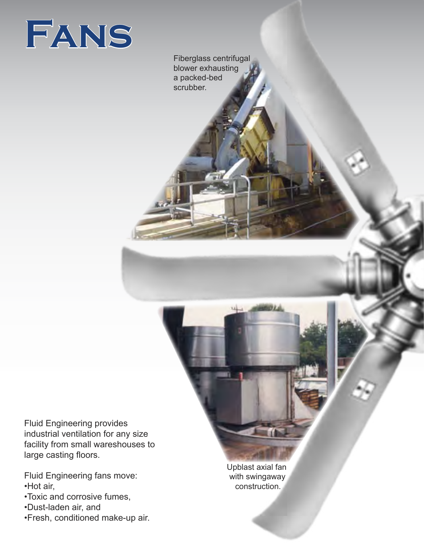

Fiberglass centrifugal blower exhausting a packed-bed scrubber.

Fluid Engineering provides industrial ventilation for any size facility from small wareshouses to large casting floors.

Fluid Engineering fans move: •Hot air,

•Toxic and corrosive fumes,

•Dust-laden air, and

•Fresh, conditioned make-up air.

Upblast axial fan with swingaway construction.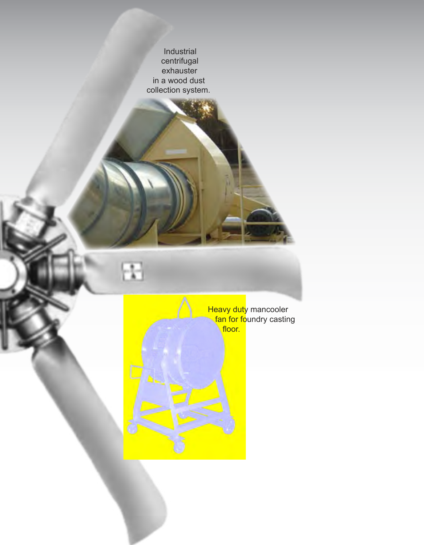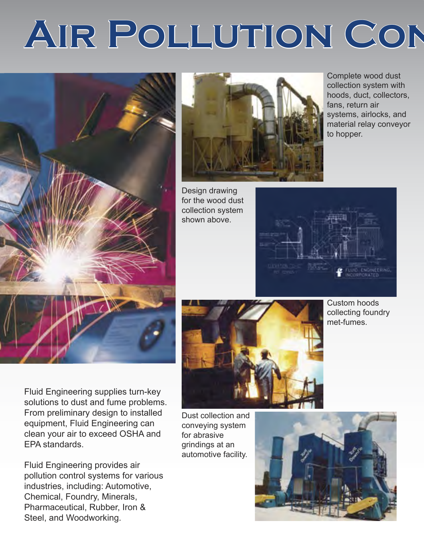## AIR POLLUTION CON





Design drawing for the wood dust collection system shown above.





Custom hoods collecting foundry met-fumes.

Complete wood dust collection system with hoods, duct, collectors,

systems, airlocks, and material relay conveyor

fans, return air

to hopper.

Fluid Engineering supplies turn-key solutions to dust and fume problems. From preliminary design to installed equipment, Fluid Engineering can clean your air to exceed OSHA and EPA standards.

Fluid Engineering provides air pollution control systems for various industries, including: Automotive, Chemical, Foundry, Minerals, Pharmaceutical, Rubber, Iron & Steel, and Woodworking.

Dust collection and conveying system for abrasive grindings at an automotive facility.

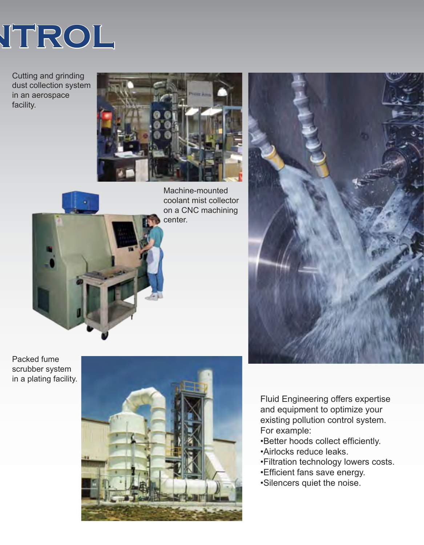

Cutting and grinding dust collection system in an aerospace facility.





Machine-mounted coolant mist collector on a CNC machining center.

Packed fume scrubber system in a plating facility.





Fluid Engineering offers expertise and equipment to optimize your existing pollution control system. For example:

- •Better hoods collect efficiently.
- •Airlocks reduce leaks.
- •Filtration technology lowers costs.
- •Efficient fans save energy.
- •Silencers quiet the noise.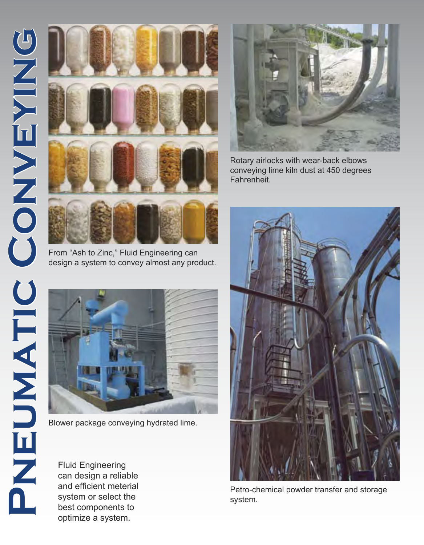

From "Ash to Zinc," Fluid Engineering can design a system to convey almost any product.



Blower package conveying hydrated lime.

can design a reliable and efficient meterial system or select the best components to optimize a system.



Rotary airlocks with wear-back elbows conveying lime kiln dust at 450 degrees Fahrenheit.



Petro-chemical powder transfer and storage system.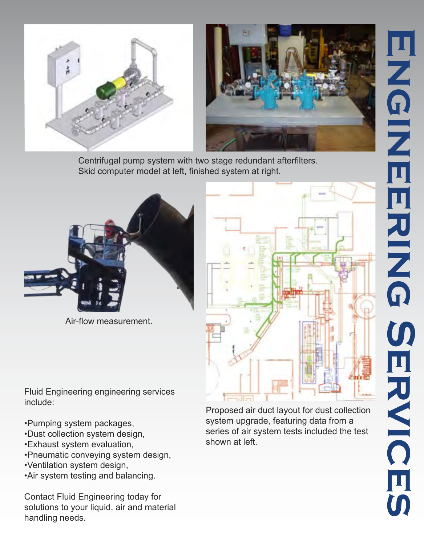





Centrifugal pump system with two stage redundant afterfilters. Skid computer model at left, finished system at right.



Air-flow measurement.

Fluid Engineering engineering services include:

- •Pumping system packages,
- •Dust collection system design,
- •Exhaust system evaluation,
- •Pneumatic conveying system design,
- •Ventilation system design,
- •Air system testing and balancing.

Contact Fluid Engineering today for solutions to your liquid, air and material handling needs.



Proposed air duct layout for dust collection system upgrade, featuring data from a series of air system tests included the test shown at left.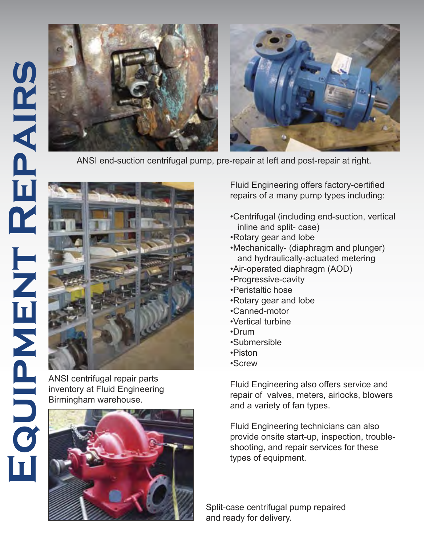

ANSI end-suction centrifugal pump, pre-repair at left and post-repair at right.



ANSI centrifugal repair parts inventory at Fluid Engineering Birmingham warehouse.



Fluid Engineering offers factory-certified repairs of a many pump types including:

- •Centrifugal (including end-suction, vertical inline and split- case)
- •Rotary gear and lobe
- •Mechanically- (diaphragm and plunger) and hydraulically-actuated metering
- •Air-operated diaphragm (AOD)
- •Progressive-cavity
- •Peristaltic hose
- •Rotary gear and lobe
- •Canned-motor
- •Vertical turbine
- •Drum
- •Submersible
- •Piston
- •Screw

Fluid Engineering also offers service and repair of valves, meters, airlocks, blowers and a variety of fan types.

Fluid Engineering technicians can also provide onsite start-up, inspection, troubleshooting, and repair services for these types of equipment.

Split-case centrifugal pump repaired and ready for delivery.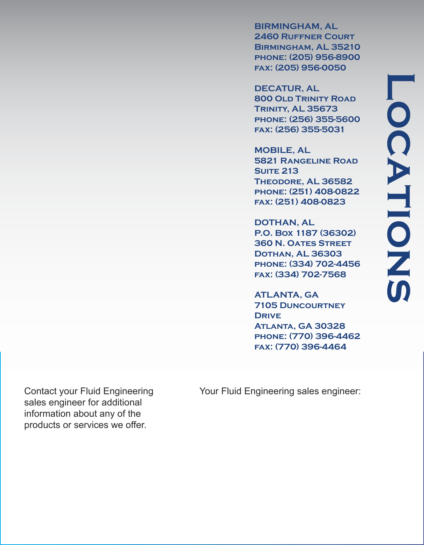**BIRMINGHAM, AL 2460 Ruffner Court Birmingham, AL 35210 phone: (205) 956-8900 fax: (205) 956-0050**

**DECATUR, AL 800 Old Trinity Road Trinity, AL 35673 phone: (256) 355-5600 fax: (256) 355-5031**

**MOBILE, AL 5821 Rangeline Road Suite 213 Theodore, AL 36582 phone: (251) 408-0822 fax: (251) 408-0823**

**DOTHAN, AL P.O. Box 1187 (36302) 360 N. Oates Street Dothan, AL 36303 phone: (334) 702-4456 fax: (334) 702-7568**

**ATLANTA, GA 7105 Duncourtney Drive Atlanta, GA 30328 phone: (770) 396-4462 fax: (770) 396-4464**

sales engineer for additional information about any of the products or services we offer.

Contact your Fluid Engineering Your Fluid Engineering sales engineer: